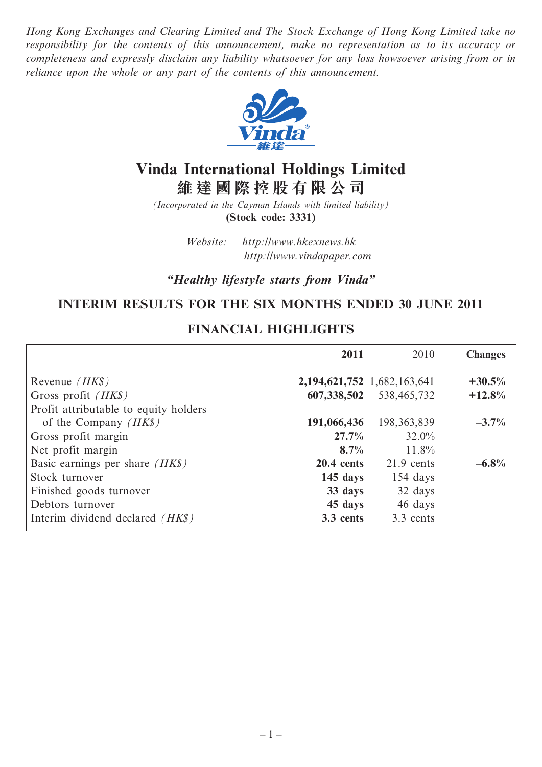*Hong Kong Exchanges and Clearing Limited and The Stock Exchange of Hong Kong Limited take no responsibility for the contents of this announcement, make no representation as to its accuracy or completeness and expressly disclaim any liability whatsoever for any loss howsoever arising from or in reliance upon the whole or any part of the contents of this announcement.*



# **Vinda International Holdings Limited 維 達 國 際 控 股 有 限 公 司**

*(Incorporated in the Cayman Islands with limited liability)* **(Stock code: 3331)**

> *Website: http://www.hkexnews.hk http://www.vindapaper.com*

*"Healthy lifestyle starts from Vinda"*

# **INTERIM RESULTS FOR THE SIX MONTHS ENDED 30 JUNE 2011**

## **FINANCIAL HIGHLIGHTS**

|                                         | 2011                              | 2010                        | <b>Changes</b> |
|-----------------------------------------|-----------------------------------|-----------------------------|----------------|
| Revenue $(HK\$ )                        | 2, 194, 621, 752 1, 682, 163, 641 |                             | $+30.5%$       |
| Gross profit $(HK\$                     |                                   | 607, 338, 502 538, 465, 732 | $+12.8%$       |
| Profit attributable to equity holders   |                                   |                             |                |
| of the Company $(HK\$ )                 | 191,066,436                       | 198, 363, 839               | $-3.7\%$       |
| Gross profit margin                     | 27.7%                             | $32.0\%$                    |                |
| Net profit margin                       | 8.7%                              | $11.8\%$                    |                |
| Basic earnings per share $(HK\$ )       | $20.4$ cents                      | $21.9$ cents                | $-6.8%$        |
| Stock turnover                          | $145$ days                        | $154 \; days$               |                |
| Finished goods turnover                 | 33 days                           | 32 days                     |                |
| Debtors turnover                        | 45 days                           | 46 days                     |                |
| Interim dividend declared <i>(HK\$)</i> | 3.3 cents                         | 3.3 cents                   |                |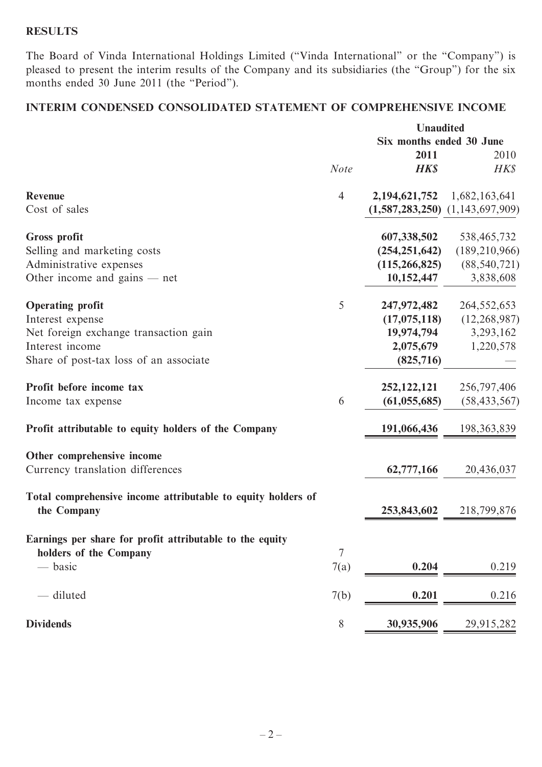## **RESULTS**

The Board of Vinda International Holdings Limited ("Vinda International" or the "Company") is pleased to present the interim results of the Company and its subsidiaries (the "Group") for the six months ended 30 June 2011 (the "Period").

# **INTERIM CONDENSED CONSOLIDATED STATEMENT OF COMPREHENSIVE INCOME**

|                                                                             |                | <b>Unaudited</b>         |                                     |  |
|-----------------------------------------------------------------------------|----------------|--------------------------|-------------------------------------|--|
|                                                                             |                | Six months ended 30 June |                                     |  |
|                                                                             |                | 2011                     | 2010                                |  |
|                                                                             | <b>Note</b>    | <b>HK\$</b>              | HK\$                                |  |
| <b>Revenue</b>                                                              | $\overline{4}$ | 2, 194, 621, 752         | 1,682,163,641                       |  |
| Cost of sales                                                               |                |                          | $(1,587,283,250)$ $(1,143,697,909)$ |  |
| <b>Gross profit</b>                                                         |                | 607,338,502              | 538,465,732                         |  |
| Selling and marketing costs                                                 |                | (254, 251, 642)          | (189, 210, 966)                     |  |
| Administrative expenses                                                     |                | (115, 266, 825)          | (88, 540, 721)                      |  |
| Other income and gains — net                                                |                | 10,152,447               | 3,838,608                           |  |
| <b>Operating profit</b>                                                     | 5              | 247,972,482              | 264, 552, 653                       |  |
| Interest expense                                                            |                | (17,075,118)             | (12, 268, 987)                      |  |
| Net foreign exchange transaction gain                                       |                | 19,974,794               | 3,293,162                           |  |
| Interest income                                                             |                | 2,075,679                | 1,220,578                           |  |
| Share of post-tax loss of an associate                                      |                | (825,716)                |                                     |  |
| Profit before income tax                                                    |                | 252, 122, 121            | 256,797,406                         |  |
| Income tax expense                                                          | 6              | (61, 055, 685)           | (58, 433, 567)                      |  |
| Profit attributable to equity holders of the Company                        |                | 191,066,436              | 198, 363, 839                       |  |
| Other comprehensive income                                                  |                |                          |                                     |  |
| Currency translation differences                                            |                | 62,777,166               | 20,436,037                          |  |
| Total comprehensive income attributable to equity holders of<br>the Company |                | 253,843,602              | 218,799,876                         |  |
|                                                                             |                |                          |                                     |  |
| Earnings per share for profit attributable to the equity                    |                |                          |                                     |  |
| holders of the Company                                                      | 7              |                          |                                     |  |
| — basic                                                                     | 7(a)           | 0.204                    | 0.219                               |  |
| - diluted                                                                   | 7(b)           | 0.201                    | 0.216                               |  |
| <b>Dividends</b>                                                            | $8\,$          | 30,935,906               | 29,915,282                          |  |
|                                                                             |                |                          |                                     |  |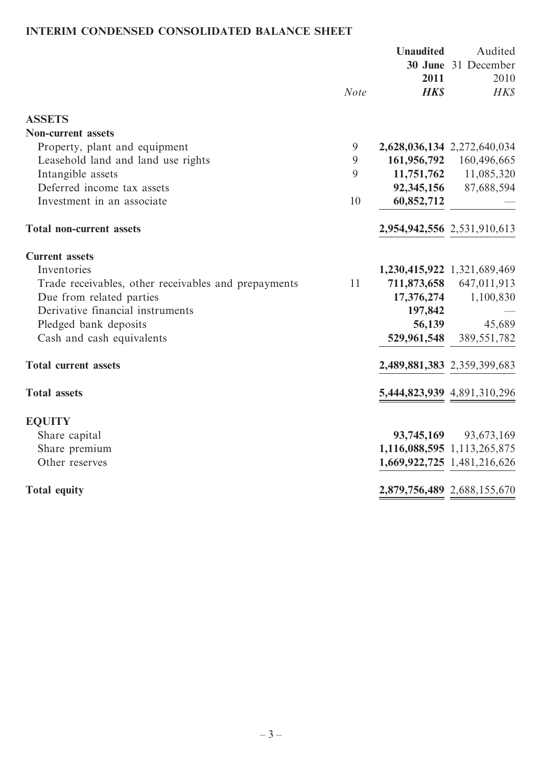# **INTERIM CONDENSED CONSOLIDATED BALANCE SHEET**

|                                                      |                | <b>Unaudited</b> | Audited<br>30 June 31 December |
|------------------------------------------------------|----------------|------------------|--------------------------------|
|                                                      |                | 2011             | 2010                           |
|                                                      | <b>Note</b>    | <b>HK\$</b>      | HK\$                           |
| <b>ASSETS</b>                                        |                |                  |                                |
| <b>Non-current assets</b>                            |                |                  |                                |
| Property, plant and equipment                        | $\mathfrak{g}$ |                  | 2,628,036,134 2,272,640,034    |
| Leasehold land and land use rights                   | 9              |                  | 161,956,792 160,496,665        |
| Intangible assets                                    | 9              |                  | 11,751,762 11,085,320          |
| Deferred income tax assets                           |                | 92,345,156       | 87,688,594                     |
| Investment in an associate                           | 10             | 60,852,712       |                                |
| <b>Total non-current assets</b>                      |                |                  | 2,954,942,556 2,531,910,613    |
| <b>Current</b> assets                                |                |                  |                                |
| Inventories                                          |                |                  | 1,230,415,922 1,321,689,469    |
| Trade receivables, other receivables and prepayments | 11             | 711,873,658      | 647,011,913                    |
| Due from related parties                             |                | 17,376,274       | 1,100,830                      |
| Derivative financial instruments                     |                | 197,842          |                                |
| Pledged bank deposits                                |                | 56,139           | 45,689                         |
| Cash and cash equivalents                            |                | 529,961,548      | 389, 551, 782                  |
| <b>Total current assets</b>                          |                |                  | 2,489,881,383 2,359,399,683    |
| <b>Total assets</b>                                  |                |                  | 5,444,823,939 4,891,310,296    |
| <b>EQUITY</b>                                        |                |                  |                                |
| Share capital                                        |                | 93,745,169       | 93,673,169                     |
| Share premium                                        |                |                  | 1,116,088,595 1,113,265,875    |
| Other reserves                                       |                |                  | 1,669,922,725 1,481,216,626    |
| <b>Total equity</b>                                  |                |                  | 2,879,756,489 2,688,155,670    |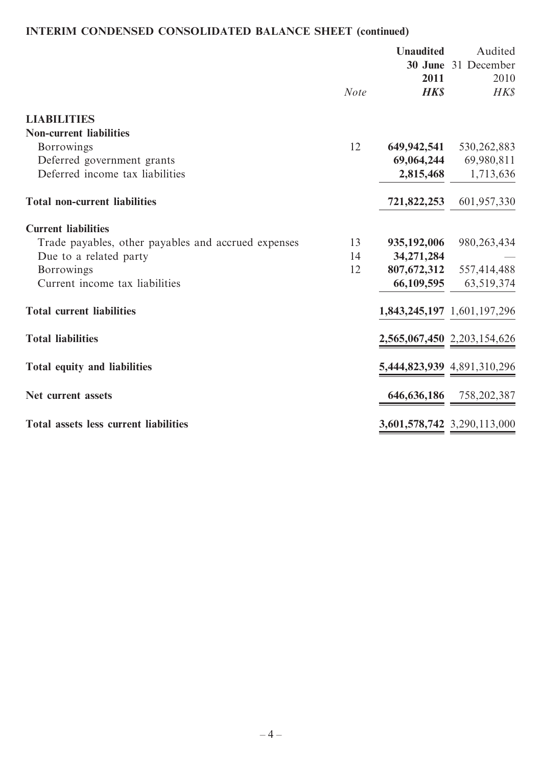# **INTERIM CONDENSED CONSOLIDATED BALANCE SHEET (continued)**

|                                                     |             | <b>Unaudited</b><br>2011 | Audited<br>30 June 31 December<br>2010 |
|-----------------------------------------------------|-------------|--------------------------|----------------------------------------|
|                                                     | <b>Note</b> | <b>HK\$</b>              | <b>HK\$</b>                            |
| <b>LIABILITIES</b>                                  |             |                          |                                        |
| <b>Non-current liabilities</b>                      |             |                          |                                        |
| <b>Borrowings</b>                                   | 12          | 649,942,541              | 530, 262, 883                          |
| Deferred government grants                          |             | 69,064,244               | 69,980,811                             |
| Deferred income tax liabilities                     |             | 2,815,468                | 1,713,636                              |
| <b>Total non-current liabilities</b>                |             | 721,822,253              | 601,957,330                            |
| <b>Current liabilities</b>                          |             |                          |                                        |
| Trade payables, other payables and accrued expenses | 13          | 935,192,006              | 980, 263, 434                          |
| Due to a related party                              | 14          | 34, 271, 284             |                                        |
| Borrowings                                          | 12          | 807,672,312              | 557,414,488                            |
| Current income tax liabilities                      |             | 66,109,595               | 63,519,374                             |
| <b>Total current liabilities</b>                    |             |                          | 1,843,245,197 1,601,197,296            |
| <b>Total liabilities</b>                            |             |                          | 2,565,067,450 2,203,154,626            |
| Total equity and liabilities                        |             |                          | 5,444,823,939 4,891,310,296            |
| Net current assets                                  |             |                          | 646,636,186 758,202,387                |
| Total assets less current liabilities               |             |                          | 3,601,578,742 3,290,113,000            |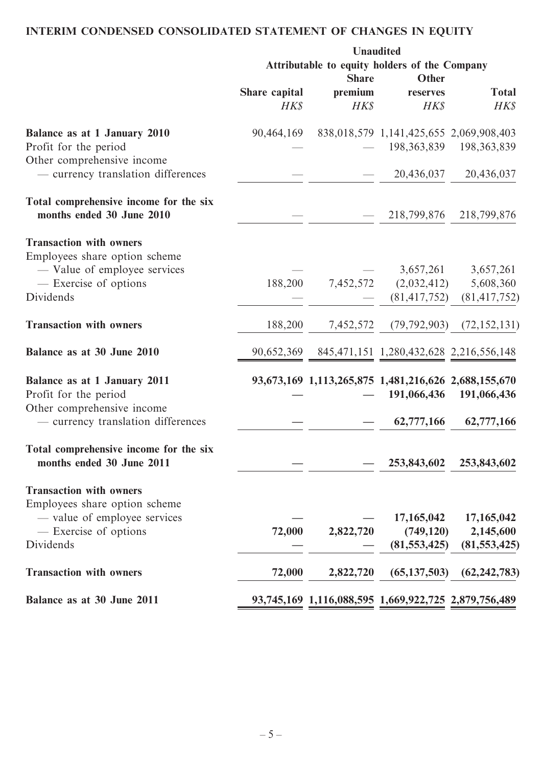# **INTERIM CONDENSED CONSOLIDATED STATEMENT OF CHANGES IN EQUITY**

|                                                                     | <b>Unaudited</b><br>Attributable to equity holders of the Company |             |                                                      |                             |
|---------------------------------------------------------------------|-------------------------------------------------------------------|-------------|------------------------------------------------------|-----------------------------|
|                                                                     | Other<br><b>Share</b>                                             |             |                                                      |                             |
|                                                                     | Share capital                                                     | premium     | reserves                                             | <b>Total</b>                |
|                                                                     | <b>HK\$</b>                                                       | <b>HK\$</b> | <b>HK\$</b>                                          | HK\$                        |
| Balance as at 1 January 2010                                        | 90,464,169                                                        |             | 838,018,579 1,141,425,655 2,069,908,403              |                             |
| Profit for the period<br>Other comprehensive income                 |                                                                   |             |                                                      | 198, 363, 839 198, 363, 839 |
| - currency translation differences                                  |                                                                   |             | 20,436,037                                           | 20,436,037                  |
| Total comprehensive income for the six                              |                                                                   |             |                                                      |                             |
| months ended 30 June 2010                                           |                                                                   |             | 218,799,876                                          | 218,799,876                 |
| <b>Transaction with owners</b>                                      |                                                                   |             |                                                      |                             |
| Employees share option scheme<br>- Value of employee services       |                                                                   |             | 3,657,261                                            | 3,657,261                   |
| - Exercise of options                                               | 188,200                                                           | 7,452,572   | (2,032,412)                                          | 5,608,360                   |
| Dividends                                                           |                                                                   |             | (81, 417, 752)                                       | (81, 417, 752)              |
| <b>Transaction with owners</b>                                      | 188,200                                                           | 7,452,572   | (79, 792, 903)                                       | (72, 152, 131)              |
| Balance as at 30 June 2010                                          |                                                                   |             | 90,652,369 845,471,151 1,280,432,628 2,216,556,148   |                             |
| Balance as at 1 January 2011                                        |                                                                   |             | 93,673,169 1,113,265,875 1,481,216,626 2,688,155,670 |                             |
| Profit for the period                                               |                                                                   |             | 191,066,436                                          | 191,066,436                 |
| Other comprehensive income<br>- currency translation differences    |                                                                   |             | 62,777,166                                           | 62,777,166                  |
| Total comprehensive income for the six<br>months ended 30 June 2011 |                                                                   |             | 253,843,602                                          | 253,843,602                 |
| <b>Transaction with owners</b>                                      |                                                                   |             |                                                      |                             |
| Employees share option scheme                                       |                                                                   |             |                                                      |                             |
| - value of employee services                                        |                                                                   |             | 17,165,042                                           | 17,165,042                  |
| - Exercise of options                                               | 72,000                                                            | 2,822,720   | (749, 120)                                           | 2,145,600                   |
| Dividends                                                           |                                                                   |             | (81, 553, 425)                                       | (81, 553, 425)              |
| <b>Transaction with owners</b>                                      | 72,000                                                            | 2,822,720   | (65, 137, 503)                                       | (62, 242, 783)              |
| Balance as at 30 June 2011                                          |                                                                   |             | 93,745,169 1,116,088,595 1,669,922,725 2,879,756,489 |                             |
|                                                                     |                                                                   |             |                                                      |                             |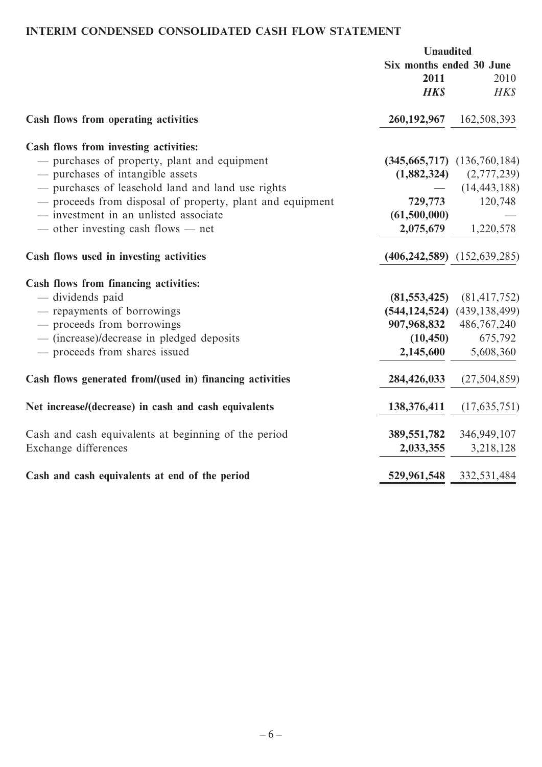# **INTERIM CONDENSED CONSOLIDATED CASH FLOW STATEMENT**

|                                                           | <b>Unaudited</b>         |                                     |
|-----------------------------------------------------------|--------------------------|-------------------------------------|
|                                                           | Six months ended 30 June |                                     |
|                                                           | 2011                     | 2010                                |
|                                                           | <b>HKS</b>               | HK\$                                |
| Cash flows from operating activities                      |                          | 260, 192, 967 162, 508, 393         |
| Cash flows from investing activities:                     |                          |                                     |
| - purchases of property, plant and equipment              |                          | $(345, 665, 717)$ $(136, 760, 184)$ |
| - purchases of intangible assets                          |                          | $(1,882,324)$ $(2,777,239)$         |
| - purchases of leasehold land and land use rights         |                          | (14, 443, 188)                      |
| - proceeds from disposal of property, plant and equipment |                          | 729,773 120,748                     |
| - investment in an unlisted associate                     | (61,500,000)             |                                     |
| — other investing cash flows — net                        |                          | $2,075,679$ 1,220,578               |
| Cash flows used in investing activities                   |                          | $(406, 242, 589)$ $(152, 639, 285)$ |
| Cash flows from financing activities:                     |                          |                                     |
| - dividends paid                                          |                          | $(81,553,425)$ $(81,417,752)$       |
| - repayments of borrowings                                |                          | $(544, 124, 524)$ $(439, 138, 499)$ |
| - proceeds from borrowings                                |                          | 907,968,832 486,767,240             |
| - (increase)/decrease in pledged deposits                 | (10, 450)                | 675,792                             |
| - proceeds from shares issued                             | 2,145,600                | 5,608,360                           |
| Cash flows generated from/(used in) financing activities  | 284,426,033              | (27, 504, 859)                      |
| Net increase/(decrease) in cash and cash equivalents      | 138,376,411              | (17, 635, 751)                      |
| Cash and cash equivalents at beginning of the period      |                          | 389, 551, 782 346, 949, 107         |
| Exchange differences                                      | 2,033,355                | 3,218,128                           |
| Cash and cash equivalents at end of the period            | 529,961,548              | 332,531,484                         |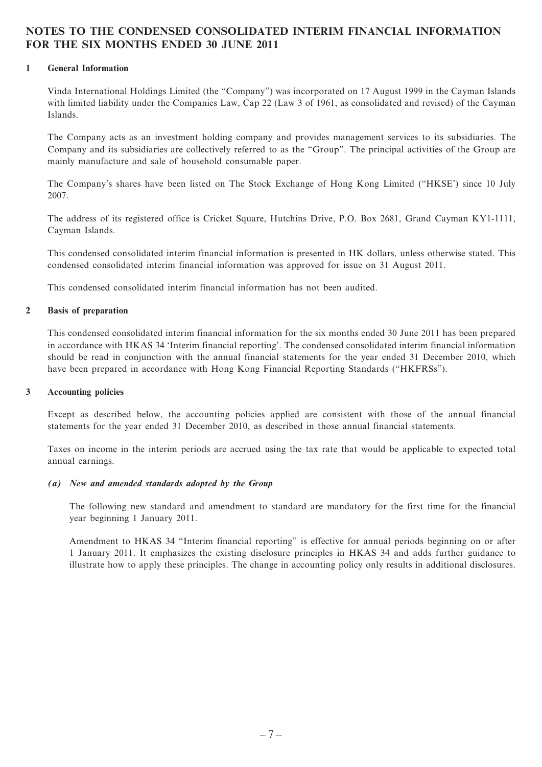## **NOTES TO THE CONDENSED CONSOLIDATED INTERIM FINANCIAL INFORMATION FOR THE SIX MONTHS ENDED 30 JUNE 2011**

#### **1 General Information**

Vinda International Holdings Limited (the "Company") was incorporated on 17 August 1999 in the Cayman Islands with limited liability under the Companies Law, Cap 22 (Law 3 of 1961, as consolidated and revised) of the Cayman Islands.

The Company acts as an investment holding company and provides management services to its subsidiaries. The Company and its subsidiaries are collectively referred to as the "Group". The principal activities of the Group are mainly manufacture and sale of household consumable paper.

The Company's shares have been listed on The Stock Exchange of Hong Kong Limited ("HKSE') since 10 July 2007.

The address of its registered office is Cricket Square, Hutchins Drive, P.O. Box 2681, Grand Cayman KY1-1111, Cayman Islands.

This condensed consolidated interim financial information is presented in HK dollars, unless otherwise stated. This condensed consolidated interim financial information was approved for issue on 31 August 2011.

This condensed consolidated interim financial information has not been audited.

#### **2 Basis of preparation**

This condensed consolidated interim financial information for the six months ended 30 June 2011 has been prepared in accordance with HKAS 34 'Interim financial reporting'. The condensed consolidated interim financial information should be read in conjunction with the annual financial statements for the year ended 31 December 2010, which have been prepared in accordance with Hong Kong Financial Reporting Standards ("HKFRSs").

#### **3 Accounting policies**

Except as described below, the accounting policies applied are consistent with those of the annual financial statements for the year ended 31 December 2010, as described in those annual financial statements.

Taxes on income in the interim periods are accrued using the tax rate that would be applicable to expected total annual earnings.

#### *(a) New and amended standards adopted by the Group*

The following new standard and amendment to standard are mandatory for the first time for the financial year beginning 1 January 2011.

Amendment to HKAS 34 "Interim financial reporting" is effective for annual periods beginning on or after 1 January 2011. It emphasizes the existing disclosure principles in HKAS 34 and adds further guidance to illustrate how to apply these principles. The change in accounting policy only results in additional disclosures.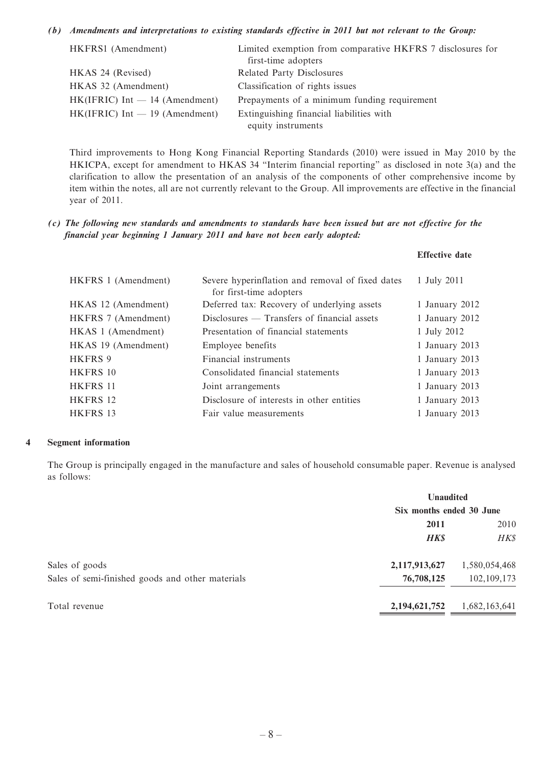#### *(b) Amendments and interpretations to existing standards effective in 2011 but not relevant to the Group:*

| HKFRS1 (Amendment)               | Limited exemption from comparative HKFRS 7 disclosures for<br>first-time adopters |
|----------------------------------|-----------------------------------------------------------------------------------|
| HKAS 24 (Revised)                | Related Party Disclosures                                                         |
| HKAS 32 (Amendment)              | Classification of rights issues                                                   |
| $HK(IFRIC) Int - 14 (Amendment)$ | Prepayments of a minimum funding requirement                                      |
| $HK(IFRIC) Int - 19 (Amendment)$ | Extinguishing financial liabilities with                                          |
|                                  | equity instruments                                                                |

Third improvements to Hong Kong Financial Reporting Standards (2010) were issued in May 2010 by the HKICPA, except for amendment to HKAS 34 "Interim financial reporting" as disclosed in note 3(a) and the clarification to allow the presentation of an analysis of the components of other comprehensive income by item within the notes, all are not currently relevant to the Group. All improvements are effective in the financial year of 2011.

**Effective date**

*(c) The following new standards and amendments to standards have been issued but are not effective for the financial year beginning 1 January 2011 and have not been early adopted:*

| HKFRS 1 (Amendment) | Severe hyperinflation and removal of fixed dates<br>for first-time adopters | 1 July 2011    |
|---------------------|-----------------------------------------------------------------------------|----------------|
| HKAS 12 (Amendment) | Deferred tax: Recovery of underlying assets                                 | 1 January 2012 |
| HKFRS 7 (Amendment) | $Disclosures$ — Transfers of financial assets                               | 1 January 2012 |
| HKAS 1 (Amendment)  | Presentation of financial statements                                        | 1 July 2012    |
| HKAS 19 (Amendment) | Employee benefits                                                           | 1 January 2013 |
| HKFRS 9             | Financial instruments                                                       | 1 January 2013 |
| HKFRS 10            | Consolidated financial statements                                           | 1 January 2013 |
| HKFRS 11            | Joint arrangements                                                          | 1 January 2013 |
| HKFRS 12            | Disclosure of interests in other entities                                   | 1 January 2013 |
| HKFRS 13            | Fair value measurements                                                     | 1 January 2013 |

#### **4 Segment information**

The Group is principally engaged in the manufacture and sales of household consumable paper. Revenue is analysed as follows:

|                                                  | <b>Unaudited</b>         |               |  |
|--------------------------------------------------|--------------------------|---------------|--|
|                                                  | Six months ended 30 June |               |  |
|                                                  | 2011                     | 2010          |  |
|                                                  | <b>HK\$</b>              | HK\$          |  |
| Sales of goods                                   | 2,117,913,627            | 1,580,054,468 |  |
| Sales of semi-finished goods and other materials | 76,708,125               | 102,109,173   |  |
| Total revenue                                    | 2, 194, 621, 752         | 1,682,163,641 |  |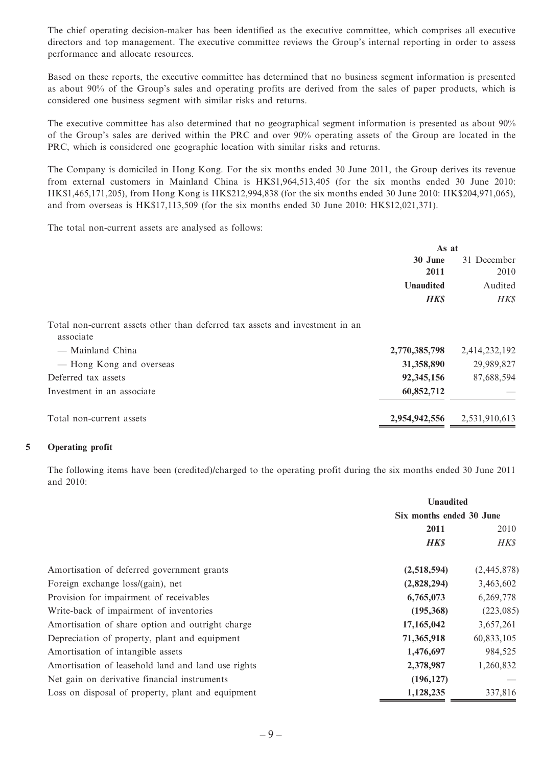The chief operating decision-maker has been identified as the executive committee, which comprises all executive directors and top management. The executive committee reviews the Group's internal reporting in order to assess performance and allocate resources.

Based on these reports, the executive committee has determined that no business segment information is presented as about 90% of the Group's sales and operating profits are derived from the sales of paper products, which is considered one business segment with similar risks and returns.

The executive committee has also determined that no geographical segment information is presented as about 90% of the Group's sales are derived within the PRC and over 90% operating assets of the Group are located in the PRC, which is considered one geographic location with similar risks and returns.

The Company is domiciled in Hong Kong. For the six months ended 30 June 2011, the Group derives its revenue from external customers in Mainland China is HK\$1,964,513,405 (for the six months ended 30 June 2010: HK\$1,465,171,205), from Hong Kong is HK\$212,994,838 (for the six months ended 30 June 2010: HK\$204,971,065), and from overseas is HK\$17,113,509 (for the six months ended 30 June 2010: HK\$12,021,371).

The total non-current assets are analysed as follows:

|                                                                                           | As at            |               |
|-------------------------------------------------------------------------------------------|------------------|---------------|
|                                                                                           | 30 June          | 31 December   |
|                                                                                           | 2011             | 2010          |
|                                                                                           | <b>Unaudited</b> | Audited       |
|                                                                                           | <b>HK\$</b>      | <b>HKS</b>    |
| Total non-current assets other than deferred tax assets and investment in an<br>associate |                  |               |
| — Mainland China                                                                          | 2,770,385,798    | 2,414,232,192 |
| — Hong Kong and overseas                                                                  | 31,358,890       | 29,989,827    |
| Deferred tax assets                                                                       | 92,345,156       | 87,688,594    |
| Investment in an associate                                                                | 60,852,712       |               |
| Total non-current assets                                                                  | 2,954,942,556    | 2,531,910,613 |
|                                                                                           |                  |               |

#### **5 Operating profit**

The following items have been (credited)/charged to the operating profit during the six months ended 30 June 2011 and 2010:

|                                                    | <b>Unaudited</b>         |             |  |
|----------------------------------------------------|--------------------------|-------------|--|
|                                                    | Six months ended 30 June |             |  |
|                                                    | 2011                     |             |  |
|                                                    | <b>HK\$</b>              | HK\$        |  |
| Amortisation of deferred government grants         | (2,518,594)              | (2,445,878) |  |
| Foreign exchange loss/(gain), net                  | (2,828,294)              | 3,463,602   |  |
| Provision for impairment of receivables            | 6,765,073                | 6,269,778   |  |
| Write-back of impairment of inventories            | (195,368)                | (223, 085)  |  |
| Amortisation of share option and outright charge   | 17,165,042               | 3,657,261   |  |
| Depreciation of property, plant and equipment      | 71,365,918               | 60,833,105  |  |
| Amortisation of intangible assets                  | 1,476,697                | 984,525     |  |
| Amortisation of leasehold land and land use rights | 2,378,987                | 1,260,832   |  |
| Net gain on derivative financial instruments       | (196, 127)               |             |  |
| Loss on disposal of property, plant and equipment  | 1,128,235                | 337,816     |  |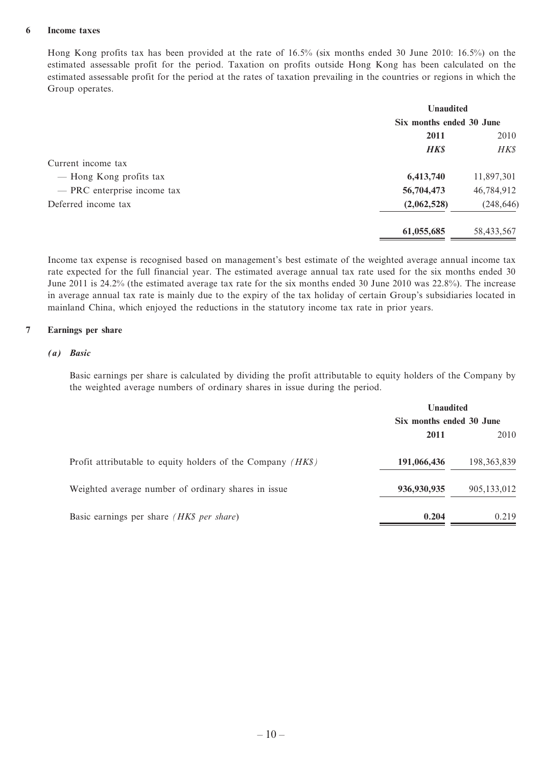#### **6 Income taxes**

Hong Kong profits tax has been provided at the rate of 16.5% (six months ended 30 June 2010: 16.5%) on the estimated assessable profit for the period. Taxation on profits outside Hong Kong has been calculated on the estimated assessable profit for the period at the rates of taxation prevailing in the countries or regions in which the Group operates.

| <b>Unaudited</b>         |            |  |
|--------------------------|------------|--|
| Six months ended 30 June |            |  |
| 2011                     | 2010       |  |
| <b>HK\$</b>              | HK\$       |  |
|                          |            |  |
| 6,413,740                | 11,897,301 |  |
| 56,704,473               | 46,784,912 |  |
| (2,062,528)              | (248, 646) |  |
| 61,055,685               | 58,433,567 |  |
|                          |            |  |

Income tax expense is recognised based on management's best estimate of the weighted average annual income tax rate expected for the full financial year. The estimated average annual tax rate used for the six months ended 30 June 2011 is 24.2% (the estimated average tax rate for the six months ended 30 June 2010 was 22.8%). The increase in average annual tax rate is mainly due to the expiry of the tax holiday of certain Group's subsidiaries located in mainland China, which enjoyed the reductions in the statutory income tax rate in prior years.

#### **7 Earnings per share**

#### *(a) Basic*

Basic earnings per share is calculated by dividing the profit attributable to equity holders of the Company by the weighted average numbers of ordinary shares in issue during the period.

|                                                               | <b>Unaudited</b><br>Six months ended 30 June |               |  |
|---------------------------------------------------------------|----------------------------------------------|---------------|--|
|                                                               |                                              |               |  |
|                                                               | 2011                                         | 2010          |  |
| Profit attributable to equity holders of the Company $(HK\$ ) | 191,066,436                                  | 198, 363, 839 |  |
| Weighted average number of ordinary shares in issue           | 936,930,935                                  | 905,133,012   |  |
| Basic earnings per share (HK\$ per share)                     | 0.204                                        | 0.219         |  |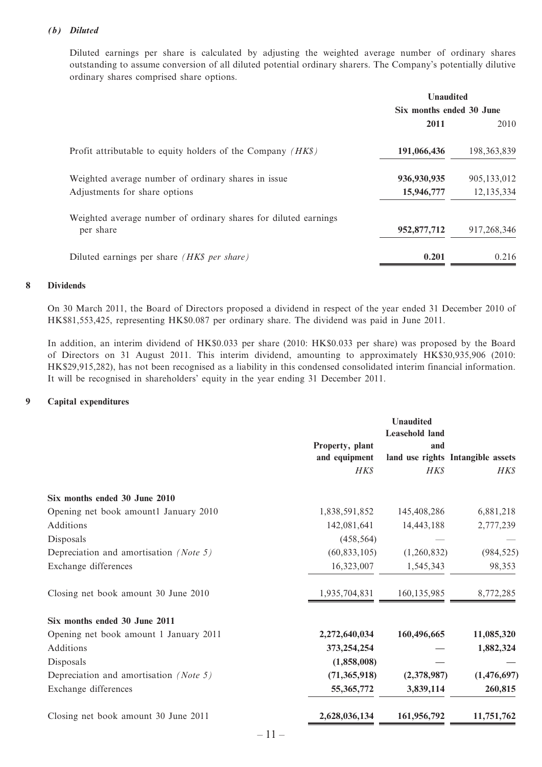#### *(b) Diluted*

Diluted earnings per share is calculated by adjusting the weighted average number of ordinary shares outstanding to assume conversion of all diluted potential ordinary sharers. The Company's potentially dilutive ordinary shares comprised share options.

|                                                                              | <b>Unaudited</b>         |               |  |
|------------------------------------------------------------------------------|--------------------------|---------------|--|
|                                                                              | Six months ended 30 June |               |  |
|                                                                              | 2011                     | 2010          |  |
| Profit attributable to equity holders of the Company $(HK\$ )                | 191,066,436              | 198, 363, 839 |  |
| Weighted average number of ordinary shares in issue                          | 936,930,935              | 905,133,012   |  |
| Adjustments for share options                                                | 15,946,777               | 12,135,334    |  |
| Weighted average number of ordinary shares for diluted earnings<br>per share | 952,877,712              | 917,268,346   |  |
| Diluted earnings per share <i>(HK\$ per share)</i>                           | 0.201                    | 0.216         |  |

#### **8 Dividends**

On 30 March 2011, the Board of Directors proposed a dividend in respect of the year ended 31 December 2010 of HK\$81,553,425, representing HK\$0.087 per ordinary share. The dividend was paid in June 2011.

In addition, an interim dividend of HK\$0.033 per share (2010: HK\$0.033 per share) was proposed by the Board of Directors on 31 August 2011. This interim dividend, amounting to approximately HK\$30,935,906 (2010: HK\$29,915,282), has not been recognised as a liability in this condensed consolidated interim financial information. It will be recognised in shareholders' equity in the year ending 31 December 2011.

#### **9 Capital expenditures**

|                 | Unaudited             |                                   |
|-----------------|-----------------------|-----------------------------------|
|                 | <b>Leasehold land</b> |                                   |
| Property, plant | and                   |                                   |
| and equipment   |                       | land use rights Intangible assets |
| <b>HKS</b>      | <b>HKS</b>            | HK\$                              |
|                 |                       |                                   |
| 1,838,591,852   | 145,408,286           | 6,881,218                         |
| 142,081,641     | 14,443,188            | 2,777,239                         |
| (458, 564)      |                       |                                   |
| (60, 833, 105)  | (1,260,832)           | (984, 525)                        |
| 16,323,007      | 1,545,343             | 98,353                            |
| 1,935,704,831   | 160, 135, 985         | 8,772,285                         |
|                 |                       |                                   |
| 2,272,640,034   | 160,496,665           | 11,085,320                        |
| 373, 254, 254   |                       | 1,882,324                         |
| (1,858,008)     |                       |                                   |
| (71, 365, 918)  | (2,378,987)           | (1,476,697)                       |
| 55,365,772      | 3,839,114             | 260,815                           |
| 2,628,036,134   | 161,956,792           | 11,751,762                        |
|                 |                       |                                   |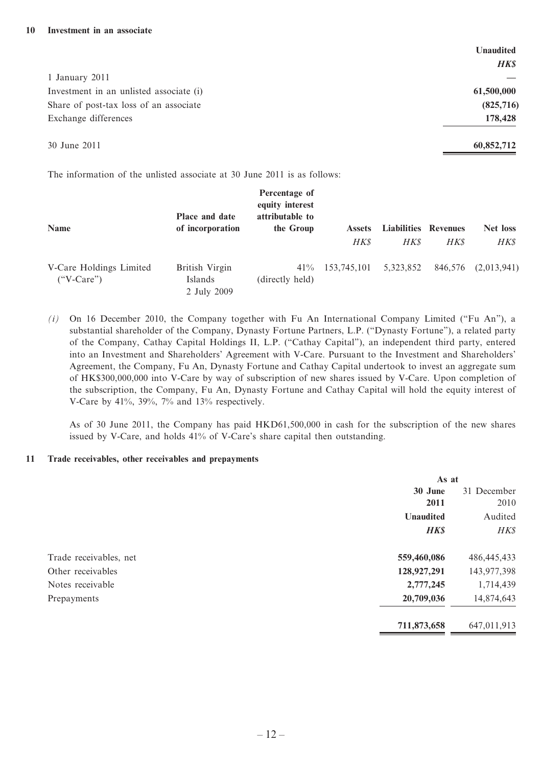|                                         | <b>Unaudited</b> |
|-----------------------------------------|------------------|
|                                         | <b>HK\$</b>      |
| 1 January 2011                          |                  |
| Investment in an unlisted associate (i) | 61,500,000       |
| Share of post-tax loss of an associate  | (825,716)        |
| Exchange differences                    | 178,428          |
| 30 June 2011                            | 60,852,712       |

The information of the unlisted associate at 30 June 2011 is as follows:

| Name                                    | Place and date<br>of incorporation       | Percentage of<br>equity interest<br>attributable to<br>the Group | <b>Assets</b><br><b>HKS</b> | <b>Liabilities Revenues</b><br><b>HKS</b> | <b>HK\$</b> | Net loss<br><b>HKS</b> |
|-----------------------------------------|------------------------------------------|------------------------------------------------------------------|-----------------------------|-------------------------------------------|-------------|------------------------|
| V-Care Holdings Limited<br>$("V-Care")$ | British Virgin<br>Islands<br>2 July 2009 | 41%<br>(directly held)                                           | 153.745.101                 | 5,323,852                                 | 846,576     | (2,013,941)            |

*(i)* On 16 December 2010, the Company together with Fu An International Company Limited ("Fu An"), a substantial shareholder of the Company, Dynasty Fortune Partners, L.P. ("Dynasty Fortune"), a related party of the Company, Cathay Capital Holdings II, L.P. ("Cathay Capital"), an independent third party, entered into an Investment and Shareholders' Agreement with V-Care. Pursuant to the Investment and Shareholders' Agreement, the Company, Fu An, Dynasty Fortune and Cathay Capital undertook to invest an aggregate sum of HK\$300,000,000 into V-Care by way of subscription of new shares issued by V-Care. Upon completion of the subscription, the Company, Fu An, Dynasty Fortune and Cathay Capital will hold the equity interest of V-Care by 41%, 39%, 7% and 13% respectively.

As of 30 June 2011, the Company has paid HKD61,500,000 in cash for the subscription of the new shares issued by V-Care, and holds 41% of V-Care's share capital then outstanding.

#### **11 Trade receivables, other receivables and prepayments**

|                        | As at            |               |
|------------------------|------------------|---------------|
|                        | 30 June          | 31 December   |
|                        | 2011             | 2010          |
|                        | <b>Unaudited</b> | Audited       |
|                        | <b>HK\$</b>      | HK\$          |
| Trade receivables, net | 559,460,086      | 486, 445, 433 |
| Other receivables      | 128,927,291      | 143,977,398   |
| Notes receivable       | 2,777,245        | 1,714,439     |
| Prepayments            | 20,709,036       | 14,874,643    |
|                        | 711,873,658      | 647,011,913   |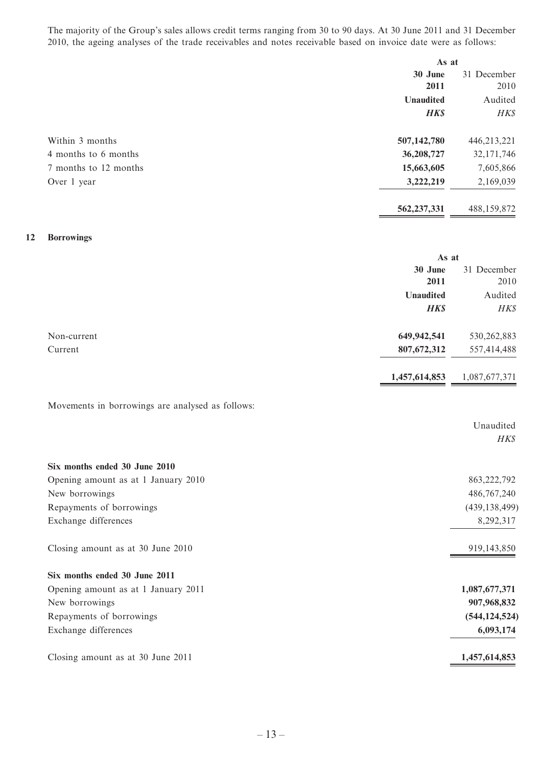The majority of the Group's sales allows credit terms ranging from 30 to 90 days. At 30 June 2011 and 31 December 2010, the ageing analyses of the trade receivables and notes receivable based on invoice date were as follows:

|                       |                  | As at       |  |
|-----------------------|------------------|-------------|--|
|                       | 30 June          | 31 December |  |
|                       | 2011             | 2010        |  |
|                       | <b>Unaudited</b> | Audited     |  |
|                       | <b>HK\$</b>      | HK\$        |  |
| Within 3 months       | 507,142,780      | 446,213,221 |  |
| 4 months to 6 months  | 36,208,727       | 32,171,746  |  |
| 7 months to 12 months | 15,663,605       | 7,605,866   |  |
| Over 1 year           | 3,222,219        | 2,169,039   |  |
|                       | 562, 237, 331    | 488,159,872 |  |
|                       |                  |             |  |

#### **12 Borrowings**

|             | As at            |               |
|-------------|------------------|---------------|
|             | 30 June          | 31 December   |
|             | 2011             | 2010          |
|             | <b>Unaudited</b> | Audited       |
|             | <b>HK\$</b>      | HK\$          |
| Non-current | 649,942,541      | 530, 262, 883 |
| Current     | 807, 672, 312    | 557,414,488   |
|             | 1,457,614,853    | 1,087,677,371 |

#### Movements in borrowings are analysed as follows:

|                                     | Unaudited       |
|-------------------------------------|-----------------|
|                                     | HK\$            |
| Six months ended 30 June 2010       |                 |
| Opening amount as at 1 January 2010 | 863, 222, 792   |
| New borrowings                      | 486,767,240     |
| Repayments of borrowings            | (439, 138, 499) |
| Exchange differences                | 8,292,317       |
| Closing amount as at 30 June 2010   | 919, 143, 850   |
| Six months ended 30 June 2011       |                 |
| Opening amount as at 1 January 2011 | 1,087,677,371   |
| New borrowings                      | 907,968,832     |
| Repayments of borrowings            | (544, 124, 524) |
| Exchange differences                | 6,093,174       |
| Closing amount as at 30 June 2011   | 1,457,614,853   |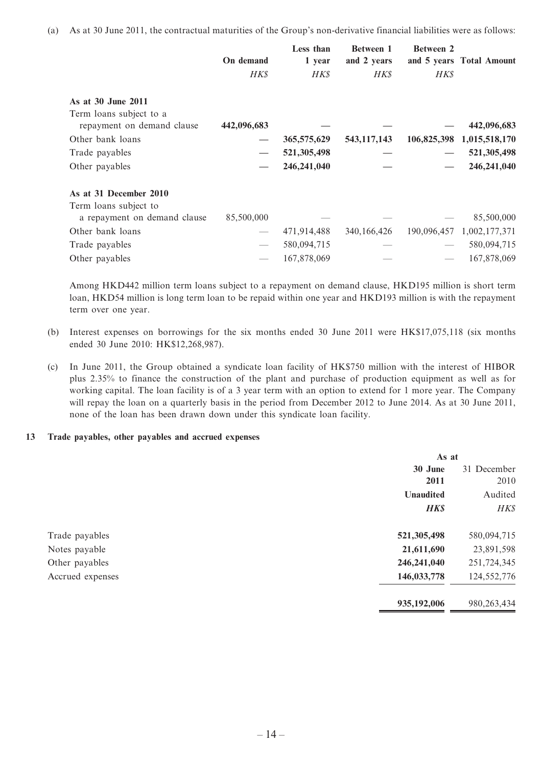(a) As at 30 June 2011, the contractual maturities of the Group's non-derivative financial liabilities were as follows:

|                              |             | Less than     | <b>Between 1</b> | <b>Between 2</b> |                          |
|------------------------------|-------------|---------------|------------------|------------------|--------------------------|
|                              | On demand   | 1 year        | and 2 years      |                  | and 5 years Total Amount |
|                              | <b>HKS</b>  | <b>HKS</b>    | <b>HKS</b>       | <b>HKS</b>       |                          |
| As at 30 June 2011           |             |               |                  |                  |                          |
| Term loans subject to a      |             |               |                  |                  |                          |
| repayment on demand clause   | 442,096,683 |               |                  |                  | 442,096,683              |
| Other bank loans             |             | 365,575,629   | 543, 117, 143    | 106,825,398      | 1,015,518,170            |
| Trade payables               |             | 521,305,498   |                  |                  | 521,305,498              |
| Other payables               |             | 246, 241, 040 |                  |                  | 246,241,040              |
| As at 31 December 2010       |             |               |                  |                  |                          |
| Term loans subject to        |             |               |                  |                  |                          |
| a repayment on demand clause | 85,500,000  |               |                  |                  | 85,500,000               |
| Other bank loans             |             | 471,914,488   | 340, 166, 426    | 190,096,457      | 1,002,177,371            |
| Trade payables               |             | 580,094,715   |                  |                  | 580,094,715              |
| Other payables               |             | 167,878,069   |                  |                  | 167,878,069              |

Among HKD442 million term loans subject to a repayment on demand clause, HKD195 million is short term loan, HKD54 million is long term loan to be repaid within one year and HKD193 million is with the repayment term over one year.

- (b) Interest expenses on borrowings for the six months ended 30 June 2011 were HK\$17,075,118 (six months ended 30 June 2010: HK\$12,268,987).
- (c) In June 2011, the Group obtained a syndicate loan facility of HK\$750 million with the interest of HIBOR plus 2.35% to finance the construction of the plant and purchase of production equipment as well as for working capital. The loan facility is of a 3 year term with an option to extend for 1 more year. The Company will repay the loan on a quarterly basis in the period from December 2012 to June 2014. As at 30 June 2011, none of the loan has been drawn down under this syndicate loan facility.

#### **13 Trade payables, other payables and accrued expenses**

|                  |             | As at         |  |
|------------------|-------------|---------------|--|
|                  | 30 June     | 31 December   |  |
|                  | 2011        | 2010          |  |
|                  | Unaudited   | Audited       |  |
|                  | <b>HK\$</b> | HK\$          |  |
| Trade payables   | 521,305,498 | 580,094,715   |  |
| Notes payable    | 21,611,690  | 23,891,598    |  |
| Other payables   | 246,241,040 | 251,724,345   |  |
| Accrued expenses | 146,033,778 | 124, 552, 776 |  |
|                  | 935,192,006 | 980, 263, 434 |  |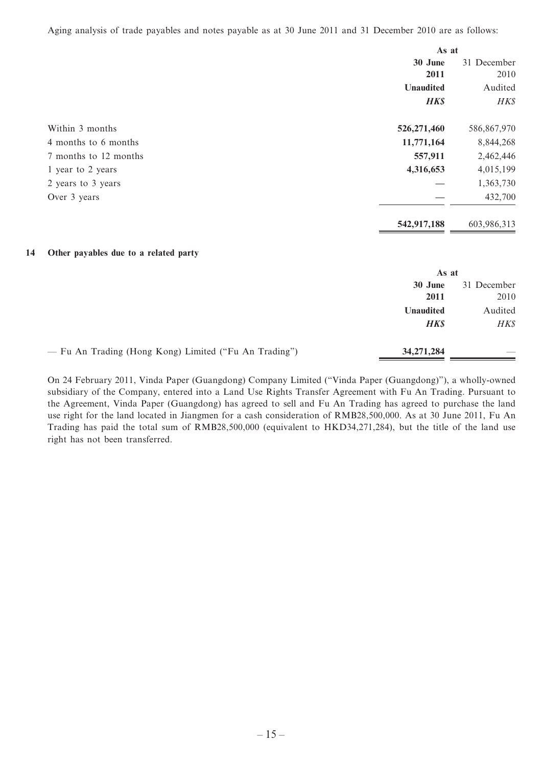Aging analysis of trade payables and notes payable as at 30 June 2011 and 31 December 2010 are as follows:

|                                                       | As at            |             |
|-------------------------------------------------------|------------------|-------------|
|                                                       | 30 June          | 31 December |
|                                                       | 2011             | 2010        |
|                                                       | Unaudited        | Audited     |
|                                                       | <b>HK\$</b>      | HK\$        |
| Within 3 months                                       | 526,271,460      | 586,867,970 |
| 4 months to 6 months                                  | 11,771,164       | 8,844,268   |
| 7 months to 12 months                                 | 557,911          | 2,462,446   |
| 1 year to 2 years                                     | 4,316,653        | 4,015,199   |
| 2 years to 3 years                                    |                  | 1,363,730   |
| Over 3 years                                          |                  | 432,700     |
|                                                       | 542,917,188      | 603,986,313 |
| 14<br>Other payables due to a related party           |                  |             |
|                                                       | As at            |             |
|                                                       | 30 June          | 31 December |
|                                                       | 2011             | 2010        |
|                                                       | <b>Unaudited</b> | Audited     |
|                                                       | <b>HK\$</b>      | HK\$        |
| - Fu An Trading (Hong Kong) Limited ("Fu An Trading") | 34,271,284       |             |

On 24 February 2011, Vinda Paper (Guangdong) Company Limited ("Vinda Paper (Guangdong)"), a wholly-owned subsidiary of the Company, entered into a Land Use Rights Transfer Agreement with Fu An Trading. Pursuant to the Agreement, Vinda Paper (Guangdong) has agreed to sell and Fu An Trading has agreed to purchase the land use right for the land located in Jiangmen for a cash consideration of RMB28,500,000. As at 30 June 2011, Fu An Trading has paid the total sum of RMB28,500,000 (equivalent to HKD34,271,284), but the title of the land use right has not been transferred.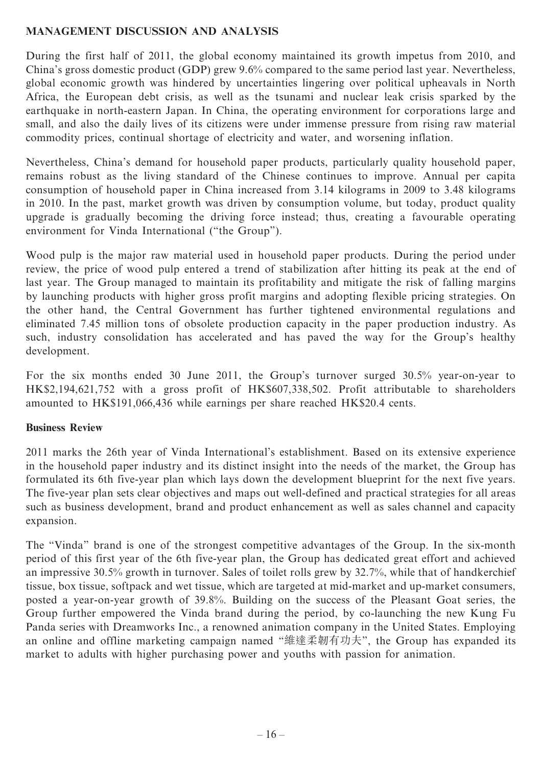## **MANAGEMENT DISCUSSION AND ANALYSIS**

During the first half of 2011, the global economy maintained its growth impetus from 2010, and China's gross domestic product (GDP) grew 9.6% compared to the same period last year. Nevertheless, global economic growth was hindered by uncertainties lingering over political upheavals in North Africa, the European debt crisis, as well as the tsunami and nuclear leak crisis sparked by the earthquake in north-eastern Japan. In China, the operating environment for corporations large and small, and also the daily lives of its citizens were under immense pressure from rising raw material commodity prices, continual shortage of electricity and water, and worsening inflation.

Nevertheless, China's demand for household paper products, particularly quality household paper, remains robust as the living standard of the Chinese continues to improve. Annual per capita consumption of household paper in China increased from 3.14 kilograms in 2009 to 3.48 kilograms in 2010. In the past, market growth was driven by consumption volume, but today, product quality upgrade is gradually becoming the driving force instead; thus, creating a favourable operating environment for Vinda International ("the Group").

Wood pulp is the major raw material used in household paper products. During the period under review, the price of wood pulp entered a trend of stabilization after hitting its peak at the end of last year. The Group managed to maintain its profitability and mitigate the risk of falling margins by launching products with higher gross profit margins and adopting flexible pricing strategies. On the other hand, the Central Government has further tightened environmental regulations and eliminated 7.45 million tons of obsolete production capacity in the paper production industry. As such, industry consolidation has accelerated and has paved the way for the Group's healthy development.

For the six months ended 30 June 2011, the Group's turnover surged 30.5% year-on-year to HK\$2,194,621,752 with a gross profit of HK\$607,338,502. Profit attributable to shareholders amounted to HK\$191,066,436 while earnings per share reached HK\$20.4 cents.

## **Business Review**

2011 marks the 26th year of Vinda International's establishment. Based on its extensive experience in the household paper industry and its distinct insight into the needs of the market, the Group has formulated its 6th five-year plan which lays down the development blueprint for the next five years. The five-year plan sets clear objectives and maps out well-defined and practical strategies for all areas such as business development, brand and product enhancement as well as sales channel and capacity expansion.

The "Vinda" brand is one of the strongest competitive advantages of the Group. In the six-month period of this first year of the 6th five-year plan, the Group has dedicated great effort and achieved an impressive 30.5% growth in turnover. Sales of toilet rolls grew by 32.7%, while that of handkerchief tissue, box tissue, softpack and wet tissue, which are targeted at mid-market and up-market consumers, posted a year-on-year growth of 39.8%. Building on the success of the Pleasant Goat series, the Group further empowered the Vinda brand during the period, by co-launching the new Kung Fu Panda series with Dreamworks Inc., a renowned animation company in the United States. Employing an online and offline marketing campaign named "維達柔韌有功夫", the Group has expanded its market to adults with higher purchasing power and youths with passion for animation.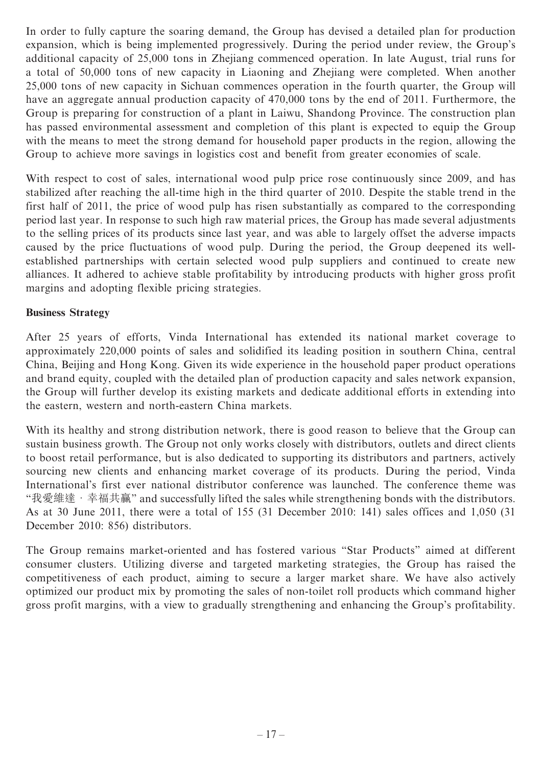In order to fully capture the soaring demand, the Group has devised a detailed plan for production expansion, which is being implemented progressively. During the period under review, the Group's additional capacity of 25,000 tons in Zhejiang commenced operation. In late August, trial runs for a total of 50,000 tons of new capacity in Liaoning and Zhejiang were completed. When another 25,000 tons of new capacity in Sichuan commences operation in the fourth quarter, the Group will have an aggregate annual production capacity of 470,000 tons by the end of 2011. Furthermore, the Group is preparing for construction of a plant in Laiwu, Shandong Province. The construction plan has passed environmental assessment and completion of this plant is expected to equip the Group with the means to meet the strong demand for household paper products in the region, allowing the Group to achieve more savings in logistics cost and benefit from greater economies of scale.

With respect to cost of sales, international wood pulp price rose continuously since 2009, and has stabilized after reaching the all-time high in the third quarter of 2010. Despite the stable trend in the first half of 2011, the price of wood pulp has risen substantially as compared to the corresponding period last year. In response to such high raw material prices, the Group has made several adjustments to the selling prices of its products since last year, and was able to largely offset the adverse impacts caused by the price fluctuations of wood pulp. During the period, the Group deepened its wellestablished partnerships with certain selected wood pulp suppliers and continued to create new alliances. It adhered to achieve stable profitability by introducing products with higher gross profit margins and adopting flexible pricing strategies.

## **Business Strategy**

After 25 years of efforts, Vinda International has extended its national market coverage to approximately 220,000 points of sales and solidified its leading position in southern China, central China, Beijing and Hong Kong. Given its wide experience in the household paper product operations and brand equity, coupled with the detailed plan of production capacity and sales network expansion, the Group will further develop its existing markets and dedicate additional efforts in extending into the eastern, western and north-eastern China markets.

With its healthy and strong distribution network, there is good reason to believe that the Group can sustain business growth. The Group not only works closely with distributors, outlets and direct clients to boost retail performance, but is also dedicated to supporting its distributors and partners, actively sourcing new clients and enhancing market coverage of its products. During the period, Vinda International's first ever national distributor conference was launched. The conference theme was "我愛維達 · 幸福共贏" and successfully lifted the sales while strengthening bonds with the distributors. As at 30 June 2011, there were a total of 155 (31 December 2010: 141) sales offices and 1,050 (31 December 2010: 856) distributors.

The Group remains market-oriented and has fostered various "Star Products" aimed at different consumer clusters. Utilizing diverse and targeted marketing strategies, the Group has raised the competitiveness of each product, aiming to secure a larger market share. We have also actively optimized our product mix by promoting the sales of non-toilet roll products which command higher gross profit margins, with a view to gradually strengthening and enhancing the Group's profitability.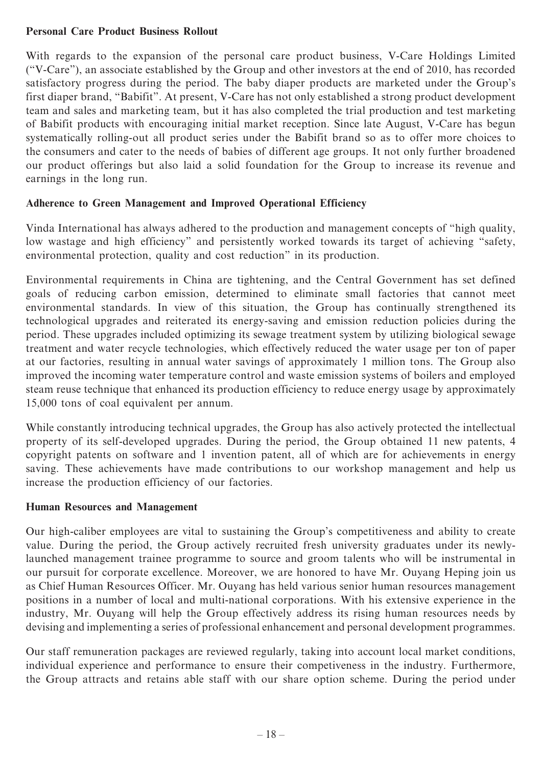## **Personal Care Product Business Rollout**

With regards to the expansion of the personal care product business, V-Care Holdings Limited ("V-Care"), an associate established by the Group and other investors at the end of 2010, has recorded satisfactory progress during the period. The baby diaper products are marketed under the Group's first diaper brand, "Babifit". At present, V-Care has not only established a strong product development team and sales and marketing team, but it has also completed the trial production and test marketing of Babifit products with encouraging initial market reception. Since late August, V-Care has begun systematically rolling-out all product series under the Babifit brand so as to offer more choices to the consumers and cater to the needs of babies of different age groups. It not only further broadened our product offerings but also laid a solid foundation for the Group to increase its revenue and earnings in the long run.

## **Adherence to Green Management and Improved Operational Efficiency**

Vinda International has always adhered to the production and management concepts of "high quality, low wastage and high efficiency" and persistently worked towards its target of achieving "safety, environmental protection, quality and cost reduction" in its production.

Environmental requirements in China are tightening, and the Central Government has set defined goals of reducing carbon emission, determined to eliminate small factories that cannot meet environmental standards. In view of this situation, the Group has continually strengthened its technological upgrades and reiterated its energy-saving and emission reduction policies during the period. These upgrades included optimizing its sewage treatment system by utilizing biological sewage treatment and water recycle technologies, which effectively reduced the water usage per ton of paper at our factories, resulting in annual water savings of approximately 1 million tons. The Group also improved the incoming water temperature control and waste emission systems of boilers and employed steam reuse technique that enhanced its production efficiency to reduce energy usage by approximately 15,000 tons of coal equivalent per annum.

While constantly introducing technical upgrades, the Group has also actively protected the intellectual property of its self-developed upgrades. During the period, the Group obtained 11 new patents, 4 copyright patents on software and 1 invention patent, all of which are for achievements in energy saving. These achievements have made contributions to our workshop management and help us increase the production efficiency of our factories.

## **Human Resources and Management**

Our high-caliber employees are vital to sustaining the Group's competitiveness and ability to create value. During the period, the Group actively recruited fresh university graduates under its newlylaunched management trainee programme to source and groom talents who will be instrumental in our pursuit for corporate excellence. Moreover, we are honored to have Mr. Ouyang Heping join us as Chief Human Resources Officer. Mr. Ouyang has held various senior human resources management positions in a number of local and multi-national corporations. With his extensive experience in the industry, Mr. Ouyang will help the Group effectively address its rising human resources needs by devising and implementing a series of professional enhancement and personal development programmes.

Our staff remuneration packages are reviewed regularly, taking into account local market conditions, individual experience and performance to ensure their competiveness in the industry. Furthermore, the Group attracts and retains able staff with our share option scheme. During the period under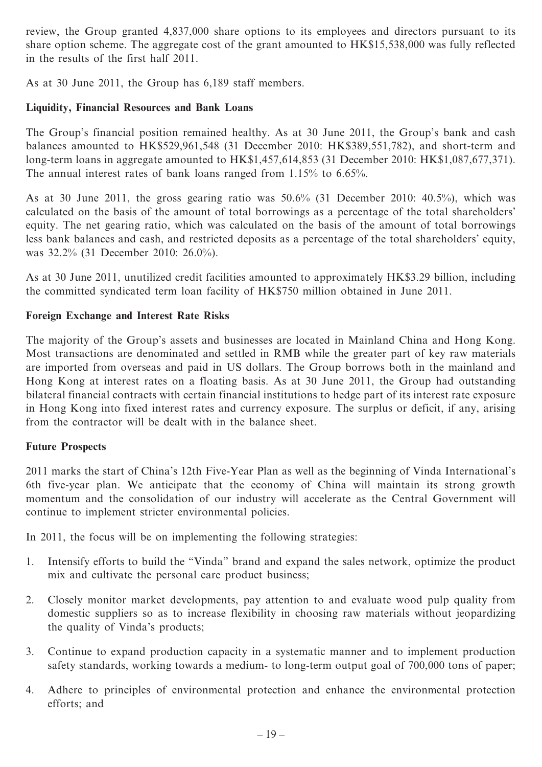review, the Group granted 4,837,000 share options to its employees and directors pursuant to its share option scheme. The aggregate cost of the grant amounted to HK\$15,538,000 was fully reflected in the results of the first half 2011.

As at 30 June 2011, the Group has 6,189 staff members.

## **Liquidity, Financial Resources and Bank Loans**

The Group's financial position remained healthy. As at 30 June 2011, the Group's bank and cash balances amounted to HK\$529,961,548 (31 December 2010: HK\$389,551,782), and short-term and long-term loans in aggregate amounted to HK\$1,457,614,853 (31 December 2010: HK\$1,087,677,371). The annual interest rates of bank loans ranged from 1.15% to 6.65%.

As at 30 June 2011, the gross gearing ratio was 50.6% (31 December 2010: 40.5%), which was calculated on the basis of the amount of total borrowings as a percentage of the total shareholders' equity. The net gearing ratio, which was calculated on the basis of the amount of total borrowings less bank balances and cash, and restricted deposits as a percentage of the total shareholders' equity, was 32.2% (31 December 2010: 26.0%).

As at 30 June 2011, unutilized credit facilities amounted to approximately HK\$3.29 billion, including the committed syndicated term loan facility of HK\$750 million obtained in June 2011.

## **Foreign Exchange and Interest Rate Risks**

The majority of the Group's assets and businesses are located in Mainland China and Hong Kong. Most transactions are denominated and settled in RMB while the greater part of key raw materials are imported from overseas and paid in US dollars. The Group borrows both in the mainland and Hong Kong at interest rates on a floating basis. As at 30 June 2011, the Group had outstanding bilateral financial contracts with certain financial institutions to hedge part of its interest rate exposure in Hong Kong into fixed interest rates and currency exposure. The surplus or deficit, if any, arising from the contractor will be dealt with in the balance sheet.

## **Future Prospects**

2011 marks the start of China's 12th Five-Year Plan as well as the beginning of Vinda International's 6th five-year plan. We anticipate that the economy of China will maintain its strong growth momentum and the consolidation of our industry will accelerate as the Central Government will continue to implement stricter environmental policies.

In 2011, the focus will be on implementing the following strategies:

- 1. Intensify efforts to build the "Vinda" brand and expand the sales network, optimize the product mix and cultivate the personal care product business;
- 2. Closely monitor market developments, pay attention to and evaluate wood pulp quality from domestic suppliers so as to increase flexibility in choosing raw materials without jeopardizing the quality of Vinda's products;
- 3. Continue to expand production capacity in a systematic manner and to implement production safety standards, working towards a medium- to long-term output goal of 700,000 tons of paper;
- 4. Adhere to principles of environmental protection and enhance the environmental protection efforts; and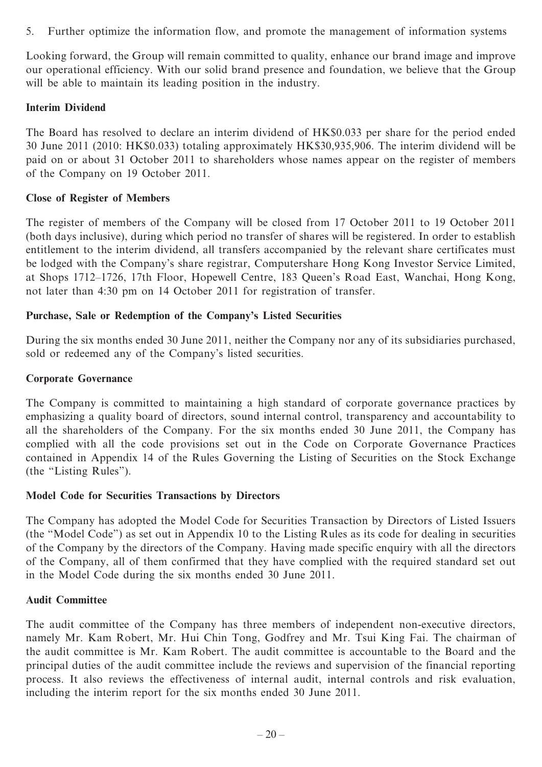5. Further optimize the information flow, and promote the management of information systems

Looking forward, the Group will remain committed to quality, enhance our brand image and improve our operational efficiency. With our solid brand presence and foundation, we believe that the Group will be able to maintain its leading position in the industry.

## **Interim Dividend**

The Board has resolved to declare an interim dividend of HK\$0.033 per share for the period ended 30 June 2011 (2010: HK\$0.033) totaling approximately HK\$30,935,906. The interim dividend will be paid on or about 31 October 2011 to shareholders whose names appear on the register of members of the Company on 19 October 2011.

## **Close of Register of Members**

The register of members of the Company will be closed from 17 October 2011 to 19 October 2011 (both days inclusive), during which period no transfer of shares will be registered. In order to establish entitlement to the interim dividend, all transfers accompanied by the relevant share certificates must be lodged with the Company's share registrar, Computershare Hong Kong Investor Service Limited, at Shops 1712–1726, 17th Floor, Hopewell Centre, 183 Queen's Road East, Wanchai, Hong Kong, not later than 4:30 pm on 14 October 2011 for registration of transfer.

## **Purchase, Sale or Redemption of the Company's Listed Securities**

During the six months ended 30 June 2011, neither the Company nor any of its subsidiaries purchased, sold or redeemed any of the Company's listed securities.

## **Corporate Governance**

The Company is committed to maintaining a high standard of corporate governance practices by emphasizing a quality board of directors, sound internal control, transparency and accountability to all the shareholders of the Company. For the six months ended 30 June 2011, the Company has complied with all the code provisions set out in the Code on Corporate Governance Practices contained in Appendix 14 of the Rules Governing the Listing of Securities on the Stock Exchange (the "Listing Rules").

## **Model Code for Securities Transactions by Directors**

The Company has adopted the Model Code for Securities Transaction by Directors of Listed Issuers (the "Model Code") as set out in Appendix 10 to the Listing Rules as its code for dealing in securities of the Company by the directors of the Company. Having made specific enquiry with all the directors of the Company, all of them confirmed that they have complied with the required standard set out in the Model Code during the six months ended 30 June 2011.

## **Audit Committee**

The audit committee of the Company has three members of independent non-executive directors, namely Mr. Kam Robert, Mr. Hui Chin Tong, Godfrey and Mr. Tsui King Fai. The chairman of the audit committee is Mr. Kam Robert. The audit committee is accountable to the Board and the principal duties of the audit committee include the reviews and supervision of the financial reporting process. It also reviews the effectiveness of internal audit, internal controls and risk evaluation, including the interim report for the six months ended 30 June 2011.